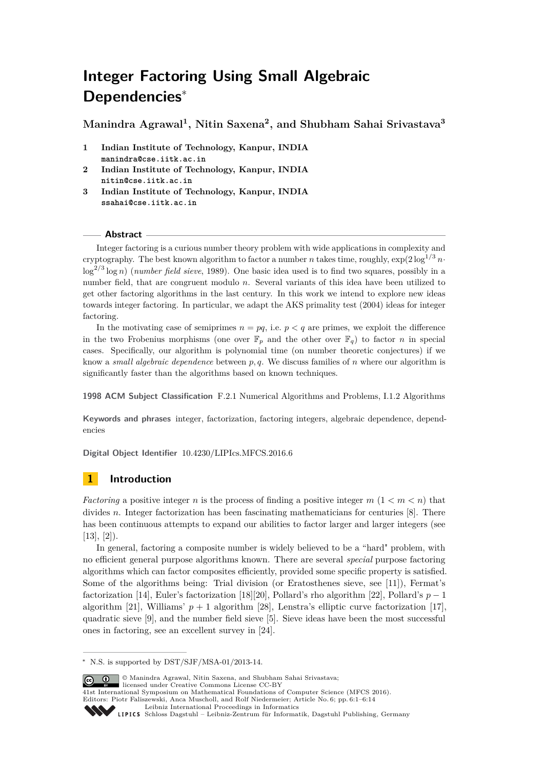# **Integer Factoring Using Small Algebraic Dependencies**<sup>∗</sup>

**Manindra Agrawal<sup>1</sup> , Nitin Saxena<sup>2</sup> , and Shubham Sahai Srivastava<sup>3</sup>**

- **1 Indian Institute of Technology, Kanpur, INDIA manindra@cse.iitk.ac.in**
- **2 Indian Institute of Technology, Kanpur, INDIA nitin@cse.iitk.ac.in**
- **3 Indian Institute of Technology, Kanpur, INDIA ssahai@cse.iitk.ac.in**

#### **Abstract**

Integer factoring is a curious number theory problem with wide applications in complexity and cryptography. The best known algorithm to factor a number *n* takes time, roughly,  $\exp(2\log^{1/3} n \cdot$ log<sup>2</sup>*/*<sup>3</sup> log *n*) (*number field sieve*, 1989). One basic idea used is to find two squares, possibly in a number field, that are congruent modulo *n*. Several variants of this idea have been utilized to get other factoring algorithms in the last century. In this work we intend to explore new ideas towards integer factoring. In particular, we adapt the AKS primality test (2004) ideas for integer factoring.

In the motivating case of semiprimes  $n = pq$ , i.e.  $p < q$  are primes, we exploit the difference in the two Frobenius morphisms (one over  $\mathbb{F}_p$  and the other over  $\mathbb{F}_q$ ) to factor *n* in special cases. Specifically, our algorithm is polynomial time (on number theoretic conjectures) if we know a *small algebraic dependence* between *p, q*. We discuss families of *n* where our algorithm is significantly faster than the algorithms based on known techniques.

**1998 ACM Subject Classification** F.2.1 Numerical Algorithms and Problems, I.1.2 Algorithms

**Keywords and phrases** integer, factorization, factoring integers, algebraic dependence, dependencies

**Digital Object Identifier** [10.4230/LIPIcs.MFCS.2016.6](http://dx.doi.org/10.4230/LIPIcs.MFCS.2016.6)

# **1 Introduction**

*Factoring* a positive integer *n* is the process of finding a positive integer  $m$  ( $1 < m < n$ ) that divides *n*. Integer factorization has been fascinating mathematicians for centuries [\[8\]](#page-12-0). There has been continuous attempts to expand our abilities to factor larger and larger integers (see  $[13]$ ,  $[2]$ ).

In general, factoring a composite number is widely believed to be a "hard" problem, with no efficient general purpose algorithms known. There are several *special* purpose factoring algorithms which can factor composites efficiently, provided some specific property is satisfied. Some of the algorithms being: Trial division (or Eratosthenes sieve, see [\[11\]](#page-12-3)), Fermat's factorization [\[14\]](#page-12-4), Euler's factorization [\[18\]](#page-12-5)[\[20\]](#page-12-6), Pollard's rho algorithm [\[22\]](#page-12-7), Pollard's *p* − 1 algorithm [\[21\]](#page-12-8), Williams'  $p + 1$  algorithm [\[28\]](#page-13-0), Lenstra's elliptic curve factorization [\[17\]](#page-12-9), quadratic sieve [\[9\]](#page-12-10), and the number field sieve [\[5\]](#page-12-11). Sieve ideas have been the most successful ones in factoring, see an excellent survey in [\[24\]](#page-13-1).

© Manindra Agrawal, Nitin Saxena, and Shubham Sahai Srivastava; licensed under Creative Commons License CC-BY

41st International Symposium on Mathematical Foundations of Computer Science (MFCS 2016). Editors: Piotr Faliszewski, Anca Muscholl, and Rolf Niedermeier; Article No. 6; pp. 6:1–6[:14](#page-13-2) [Leibniz International Proceedings in Informatics](http://www.dagstuhl.de/lipics/)

<sup>∗</sup> N.S. is supported by DST/SJF/MSA-01/2013-14.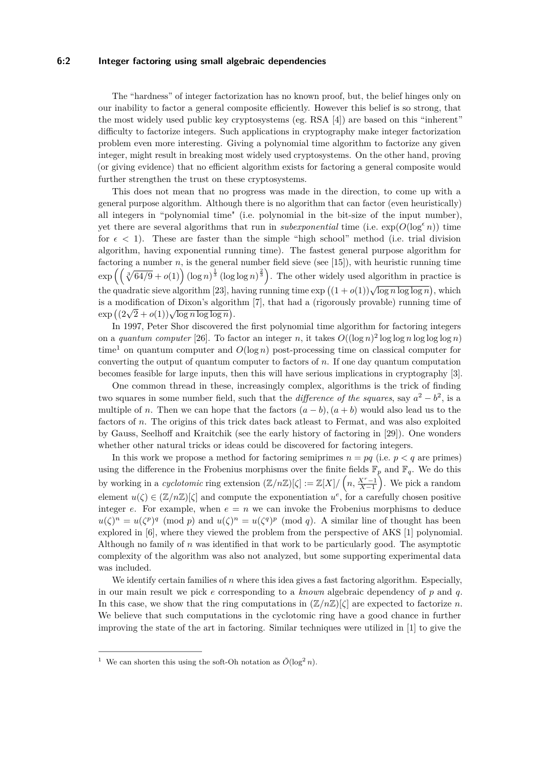### **6:2 Integer factoring using small algebraic dependencies**

The "hardness" of integer factorization has no known proof, but, the belief hinges only on our inability to factor a general composite efficiently. However this belief is so strong, that the most widely used public key cryptosystems (eg. RSA [\[4\]](#page-12-12)) are based on this "inherent" difficulty to factorize integers. Such applications in cryptography make integer factorization problem even more interesting. Giving a polynomial time algorithm to factorize any given integer, might result in breaking most widely used cryptosystems. On the other hand, proving (or giving evidence) that no efficient algorithm exists for factoring a general composite would further strengthen the trust on these cryptosystems.

This does not mean that no progress was made in the direction, to come up with a general purpose algorithm. Although there is no algorithm that can factor (even heuristically) all integers in "polynomial time" (i.e. polynomial in the bit-size of the input number), yet there are several algorithms that run in *subexponential* time (i.e.  $\exp(O(\log^{\epsilon} n))$ ) time for  $\epsilon$  < 1). These are faster than the simple "high school" method (i.e. trial division algorithm, having exponential running time). The fastest general purpose algorithm for factoring a number  $n$ , is the general number field sieve (see [\[15\]](#page-12-13)), with heuristic running time  $\exp\left(\left(\sqrt[3]{64/9}+o(1)\right)(\log n)^{\frac{1}{3}}(\log \log n)^{\frac{2}{3}}\right)$ . The other widely used algorithm in practice is the quadratic sieve algorithm [\[23\]](#page-12-14), having running time  $\exp((1+o(1))\sqrt{\log n \log \log n})$ , which is a modification of Dixon's algorithm [\[7\]](#page-12-15), that had a (rigorously provable) running time of  $\exp((2\sqrt{2}+o(1))\sqrt{\log n \log \log n}).$ 

In 1997, Peter Shor discovered the first polynomial time algorithm for factoring integers on a *quantum computer* [\[26\]](#page-13-3). To factor an integer *n*, it takes  $O((\log n)^2 \log \log n \log \log n)$ time<sup>[1](#page-1-0)</sup> on quantum computer and  $O(\log n)$  post-processing time on classical computer for converting the output of quantum computer to factors of *n*. If one day quantum computation becomes feasible for large inputs, then this will have serious implications in cryptography [\[3\]](#page-12-16).

One common thread in these, increasingly complex, algorithms is the trick of finding two squares in some number field, such that the *difference of the squares*, say  $a^2 - b^2$ , is a multiple of *n*. Then we can hope that the factors  $(a - b)$ ,  $(a + b)$  would also lead us to the factors of *n*. The origins of this trick dates back atleast to Fermat, and was also exploited by Gauss, Seelhoff and Kraitchik (see the early history of factoring in [\[29\]](#page-13-4)). One wonders whether other natural tricks or ideas could be discovered for factoring integers.

In this work we propose a method for factoring semiprimes  $n = pq$  (i.e.  $p < q$  are primes) using the difference in the Frobenius morphisms over the finite fields  $\mathbb{F}_p$  and  $\mathbb{F}_q$ . We do this by working in a *cyclotomic* ring extension  $(\mathbb{Z}/n\mathbb{Z})[\zeta] := \mathbb{Z}[X]/(n, \frac{X^r-1}{X-1})$ . We pick a random element  $u(\zeta) \in (\mathbb{Z}/n\mathbb{Z})[\zeta]$  and compute the exponentiation  $u^e$ , for a carefully chosen positive integer  $e$ . For example, when  $e = n$  we can invoke the Frobenius morphisms to deduce  $u(\zeta)^n = u(\zeta^p)^q \pmod{p}$  and  $u(\zeta)^n = u(\zeta^q)^p \pmod{q}$ . A similar line of thought has been explored in [\[6\]](#page-12-17), where they viewed the problem from the perspective of AKS [\[1\]](#page-12-18) polynomial. Although no family of *n* was identified in that work to be particularly good. The asymptotic complexity of the algorithm was also not analyzed, but some supporting experimental data was included.

We identify certain families of *n* where this idea gives a fast factoring algorithm. Especially, in our main result we pick *e* corresponding to a *known* algebraic dependency of *p* and *q*. In this case, we show that the ring computations in  $(\mathbb{Z}/n\mathbb{Z})[\zeta]$  are expected to factorize *n*. We believe that such computations in the cyclotomic ring have a good chance in further improving the state of the art in factoring. Similar techniques were utilized in [\[1\]](#page-12-18) to give the

<span id="page-1-0"></span><sup>&</sup>lt;sup>1</sup> We can shorten this using the soft-Oh notation as  $\tilde{O}(\log^2 n)$ .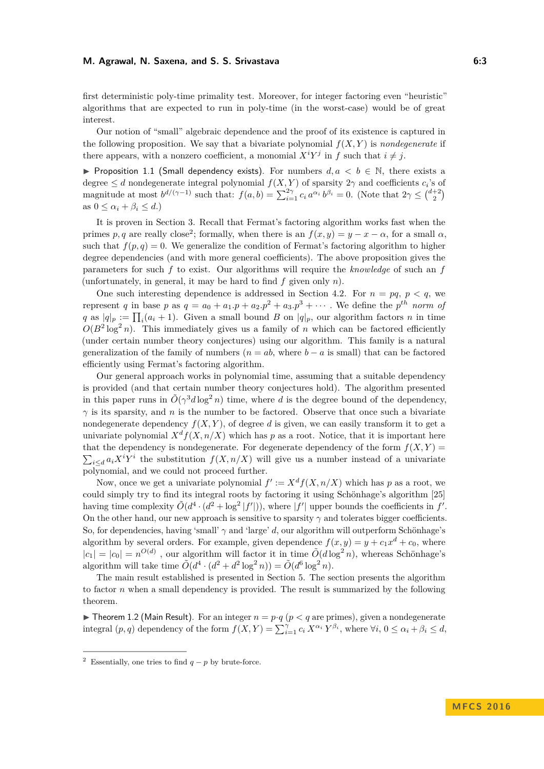first deterministic poly-time primality test. Moreover, for integer factoring even "heuristic" algorithms that are expected to run in poly-time (in the worst-case) would be of great interest.

Our notion of "small" algebraic dependence and the proof of its existence is captured in the following proposition. We say that a bivariate polynomial  $f(X, Y)$  is *nondegenerate* if there appears, with a nonzero coefficient, a monomial  $X^i Y^j$  in f such that  $i \neq j$ .

<span id="page-2-1"></span>**► Proposition 1.1 (Small dependency exists).** For numbers  $d, a \lt b \in \mathbb{N}$ , there exists a degree  $\leq d$  nondegenerate integral polynomial  $f(X, Y)$  of sparsity  $2\gamma$  and coefficients  $c_i$ 's of magnitude at most  $b^{d/(\gamma-1)}$  such that:  $f(a, b) = \sum_{i=1}^{2\gamma} c_i a^{\alpha_i} b^{\beta_i} = 0$ . (Note that  $2\gamma \leq {d+2 \choose 2}$ as  $0 \leq \alpha_i + \beta_i \leq d$ .)

It is proven in Section [3.](#page-4-0) Recall that Fermat's factoring algorithm works fast when the primes *p*, *q* are really close<sup>[2](#page-2-0)</sup>; formally, when there is an  $f(x, y) = y - x - \alpha$ , for a small  $\alpha$ , such that  $f(p, q) = 0$ . We generalize the condition of Fermat's factoring algorithm to higher degree dependencies (and with more general coefficients). The above proposition gives the parameters for such *f* to exist. Our algorithms will require the *knowledge* of such an *f* (unfortunately, in general, it may be hard to find *f* given only *n*).

One such interesting dependence is addressed in Section [4.2.](#page-7-0) For  $n = pq, p < q$ , we represent *q* in base *p* as  $q = a_0 + a_1 \cdot p + a_2 \cdot p^2 + a_3 \cdot p^3 + \cdots$ . We define the *p*<sup>th</sup> *norm of q* as  $|q|_p := \prod_i (a_i + 1)$ . Given a small bound *B* on  $|q|_p$ , our algorithm factors *n* in time  $O(B^2 \log^2 n)$ . This immediately gives us a family of *n* which can be factored efficiently (under certain number theory conjectures) using our algorithm. This family is a natural generalization of the family of numbers  $(n = ab,$  where  $b - a$  is small) that can be factored efficiently using Fermat's factoring algorithm.

Our general approach works in polynomial time, assuming that a suitable dependency is provided (and that certain number theory conjectures hold). The algorithm presented in this paper runs in  $\tilde{O}(\gamma^3 d \log^2 n)$  time, where *d* is the degree bound of the dependency,  $\gamma$  is its sparsity, and *n* is the number to be factored. Observe that once such a bivariate nondegenerate dependency  $f(X, Y)$ , of degree *d* is given, we can easily transform it to get a univariate polynomial  $X^d f(X, n/X)$  which has *p* as a root. Notice, that it is important here that the dependency is nondegenerate. For degenerate dependency of the form  $f(X, Y) =$  $\sum_{i\leq d} a_i X^i Y^i$  the substitution  $f(X, n/X)$  will give us a number instead of a univariate polynomial, and we could not proceed further.

Now, once we get a univariate polynomial  $f' := X<sup>d</sup> f(X, n/X)$  which has p as a root, we could simply try to find its integral roots by factoring it using Schönhage's algorithm [\[25\]](#page-13-5) having time complexity  $\tilde{O}(d^4 \cdot (d^2 + \log^2 |f'|))$ , where  $|f'|$  upper bounds the coefficients in  $f'$ . On the other hand, our new approach is sensitive to sparsity  $\gamma$  and tolerates bigger coefficients. So, for dependencies, having 'small' *γ* and 'large' *d*, our algorithm will outperform Schönhage's algorithm by several orders. For example, given dependence  $f(x, y) = y + c_1 x^d + c_0$ , where  $|c_1| = |c_0| = n^{O(d)}$ , our algorithm will factor it in time  $O(d \log^2 n)$ , whereas Schönhage's algorithm will take time  $\tilde{O}(d^4 \cdot (d^2 + d^2 \log^2 n)) = \tilde{O}(d^6 \log^2 n)$ .

The main result established is presented in Section [5.](#page-8-0) The section presents the algorithm to factor *n* when a small dependency is provided. The result is summarized by the following theorem.

<span id="page-2-2"></span>**I** Theorem 1.2 (Main Result). For an integer  $n = p \cdot q$  ( $p < q$  are primes), given a nondegenerate integral  $(p, q)$  dependency of the form  $f(X, Y) = \sum_{i=1}^{\gamma} c_i X^{\alpha_i} Y^{\beta_i}$ , where  $\forall i, 0 \leq \alpha_i + \beta_i \leq d$ ,

<span id="page-2-0"></span><sup>&</sup>lt;sup>2</sup> Essentially, one tries to find  $q - p$  by brute-force.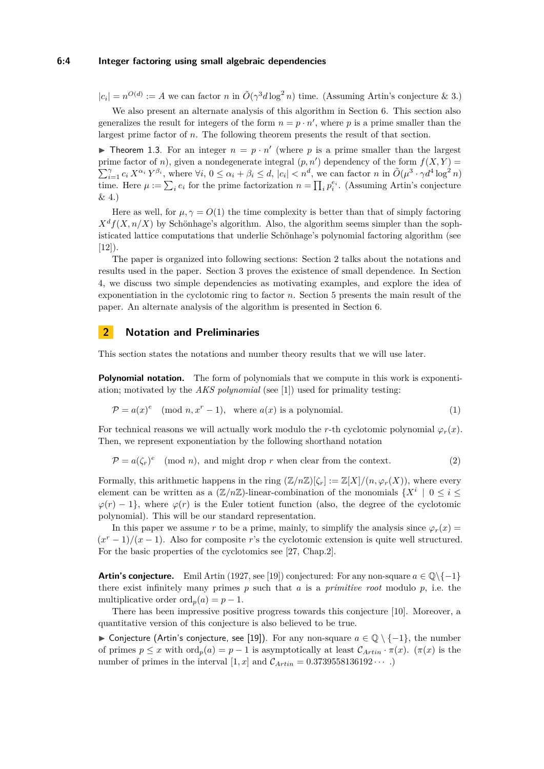#### **6:4 Integer factoring using small algebraic dependencies**

 $|c_i| = n^{O(d)} := A$  we can factor *n* in  $O(\gamma^3 d \log^2 n)$  time. (Assuming Artin's conjecture & [3.](#page-9-0))

We also present an alternate analysis of this algorithm in Section [6.](#page-11-0) This section also generalizes the result for integers of the form  $n = p \cdot n'$ , where p is a prime smaller than the largest prime factor of *n*. The following theorem presents the result of that section.

<span id="page-3-2"></span>**I** Theorem 1.3. For an integer  $n = p \cdot n'$  (where p is a prime smaller than the largest prime factor of *n*), given a nondegenerate integral  $(p, n')$  dependency of the form  $f(X, Y) =$  $\sum_{i=1}^{\gamma} c_i X^{\alpha_i} Y^{\beta_i}$ , where  $\forall i, 0 \leq \alpha_i + \beta_i \leq d, |c_i| < n^d$ , we can factor  $n \in \tilde{O}(\mu^3 \cdot \gamma d^4 \log^2 n)$ time. Here  $\mu := \sum_i e_i$  for the prime factorization  $n = \prod_i p_i^{e_i}$ . (Assuming Artin's conjecture  $\&\Delta$ )

Here as well, for  $\mu, \gamma = O(1)$  the time complexity is better than that of simply factoring  $X<sup>d</sup>f(X, n/X)$  by Schönhage's algorithm. Also, the algorithm seems simpler than the sophisticated lattice computations that underlie Schönhage's polynomial factoring algorithm (see  $[12]$ ).

The paper is organized into following sections: Section [2](#page-3-0) talks about the notations and results used in the paper. Section [3](#page-4-0) proves the existence of small dependence. In Section [4,](#page-5-0) we discuss two simple dependencies as motivating examples, and explore the idea of exponentiation in the cyclotomic ring to factor *n*. Section [5](#page-8-0) presents the main result of the paper. An alternate analysis of the algorithm is presented in Section [6.](#page-11-0)

## <span id="page-3-0"></span>**2 Notation and Preliminaries**

This section states the notations and number theory results that we will use later.

**Polynomial notation.** The form of polynomials that we compute in this work is exponentiation; motivated by the *AKS polynomial* (see [\[1\]](#page-12-18)) used for primality testing:

$$
\mathcal{P} = a(x)^e \pmod{n, x^r - 1}, \text{ where } a(x) \text{ is a polynomial.}
$$
 (1)

For technical reasons we will actually work modulo the *r*-th cyclotomic polynomial  $\varphi_r(x)$ . Then, we represent exponentiation by the following shorthand notation

<span id="page-3-1"></span>
$$
\mathcal{P} = a(\zeta_r)^e \pmod{n}, \text{ and might drop } r \text{ when clear from the context.}
$$
 (2)

Formally, this arithmetic happens in the ring  $(\mathbb{Z}/n\mathbb{Z})[\zeta_r] := \mathbb{Z}[X]/(n, \varphi_r(X))$ , where every element can be written as a  $(\mathbb{Z}/n\mathbb{Z})$ -linear-combination of the monomials  $\{X^i \mid 0 \leq i \leq j\}$  $\varphi(r) - 1$ , where  $\varphi(r)$  is the Euler totient function (also, the degree of the cyclotomic polynomial). This will be our standard representation.

In this paper we assume *r* to be a prime, mainly, to simplify the analysis since  $\varphi_r(x)$  $(x^{r}-1)/(x-1)$ . Also for composite *r*'s the cyclotomic extension is quite well structured. For the basic properties of the cyclotomics see [\[27,](#page-13-6) Chap.2].

**Artin's conjecture.** Emil Artin (1927, see [\[19\]](#page-12-20)) conjectured: For any non-square  $a \in \mathbb{Q}\setminus\{-1\}$ there exist infinitely many primes *p* such that *a* is a *primitive root* modulo *p*, i.e. the multiplicative order ord<sub>*p*</sub>(*a*) = *p* − 1.

There has been impressive positive progress towards this conjecture [\[10\]](#page-12-21). Moreover, a quantitative version of this conjecture is also believed to be true.

**In Conjecture (Artin's conjecture, see [\[19\]](#page-12-20)).** For any non-square  $a \in \mathbb{Q} \setminus \{-1\}$ , the number of primes  $p \leq x$  with  $\text{ord}_p(a) = p - 1$  is asymptotically at least  $\mathcal{C}_{Artin} \cdot \pi(x)$ .  $(\pi(x))$  is the number of primes in the interval  $[1, x]$  and  $C_{Artin} = 0.3739558136192 \cdots$ .)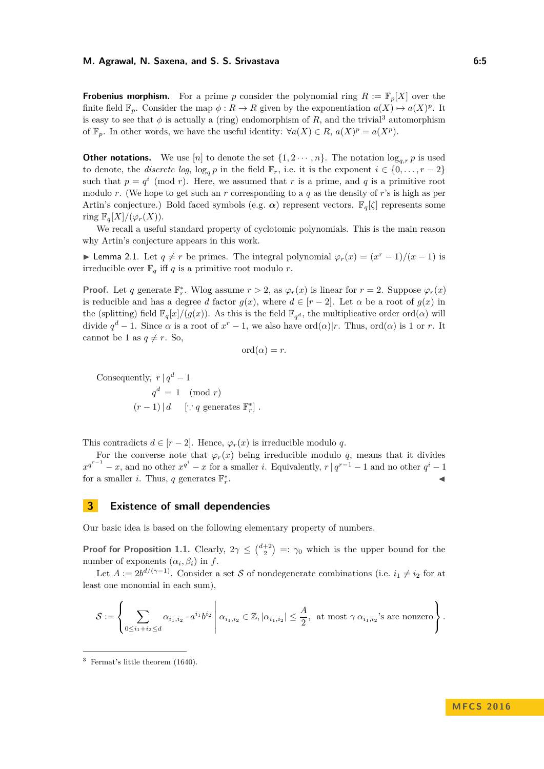**Frobenius morphism.** For a prime p consider the polynomial ring  $R := \mathbb{F}_p[X]$  over the finite field  $\mathbb{F}_p$ . Consider the map  $\phi: R \to R$  given by the exponentiation  $a(X) \mapsto a(X)^p$ . It is easy to see that  $\phi$  is actually a (ring) endomorphism of *R*, and the trivial<sup>[3](#page-4-1)</sup> automorphism of  $\mathbb{F}_p$ . In other words, we have the useful identity:  $\forall a(X) \in R$ ,  $a(X)^p = a(X^p)$ .

**Other notations.** We use [*n*] to denote the set  $\{1, 2 \cdots, n\}$ . The notation  $\log_{q,r} p$  is used to denote, the *discrete log*,  $\log_q p$  in the field  $\mathbb{F}_r$ , i.e. it is the exponent  $i \in \{0, \ldots, r-2\}$ such that  $p = q^i \pmod{r}$ . Here, we assumed that *r* is a prime, and *q* is a primitive root modulo *r*. (We hope to get such an *r* corresponding to a *q* as the density of *r*'s is high as per Artin's conjecture.) Bold faced symbols (e.g. *α*) represent vectors. F*q*[*ζ*] represents some ring  $\mathbb{F}_q[X]/(\varphi_r(X)).$ 

We recall a useful standard property of cyclotomic polynomials. This is the main reason why Artin's conjecture appears in this work.

<span id="page-4-2"></span>► Lemma 2.1. Let  $q \neq r$  be primes. The integral polynomial  $\varphi_r(x) = (x^r - 1)/(x - 1)$  is irreducible over  $\mathbb{F}_q$  iff *q* is a primitive root modulo *r*.

**Proof.** Let *q* generate  $\mathbb{F}_r^*$ . Wlog assume  $r > 2$ , as  $\varphi_r(x)$  is linear for  $r = 2$ . Suppose  $\varphi_r(x)$ is reducible and has a degree *d* factor  $g(x)$ , where  $d \in [r-2]$ . Let  $\alpha$  be a root of  $g(x)$  in the (splitting) field  $\mathbb{F}_q[x]/(g(x))$ . As this is the field  $\mathbb{F}_{q^d}$ , the multiplicative order ord( $\alpha$ ) will divide  $q^d - 1$ . Since  $\alpha$  is a root of  $x^r - 1$ , we also have ord $(\alpha)|r$ . Thus, ord $(\alpha)$  is 1 or *r*. It cannot be 1 as  $q \neq r$ . So,

$$
\mathrm{ord}(\alpha)=r.
$$

Consequently,  $r | q^d - 1$  $q^d = 1 \pmod{r}$  $(r-1) | d$  [∵ *q* generates  $\mathbb{F}_r^*$ ].

This contradicts  $d \in [r-2]$ . Hence,  $\varphi_r(x)$  is irreducible modulo *q*.

For the converse note that  $\varphi_r(x)$  being irreducible modulo *q*, means that it divides  $x^{q^{r-1}} - x$ , and no other  $x^{q^i} - x$  for a smaller *i*. Equivalently,  $r \mid q^{r-1} - 1$  and no other  $q^i - 1$ for a smaller *i*. Thus, *q* generates  $\mathbb{F}_r^*$ . J

## <span id="page-4-0"></span>**3 Existence of small dependencies**

Our basic idea is based on the following elementary property of numbers.

**Proof for Proposition [1.1.](#page-2-1)** Clearly,  $2\gamma \leq {d+2 \choose 2} =: \gamma_0$  which is the upper bound for the number of exponents  $(\alpha_i, \beta_i)$  in  $f$ .

Let  $A := 2b^{d/(\gamma-1)}$ . Consider a set S of nondegenerate combinations (i.e.  $i_1 \neq i_2$  for at least one monomial in each sum),

$$
\mathcal{S} := \left\{ \sum_{0 \leq i_1 + i_2 \leq d} \alpha_{i_1, i_2} \cdot a^{i_1} b^{i_2} \middle| \alpha_{i_1, i_2} \in \mathbb{Z}, |\alpha_{i_1, i_2}| \leq \frac{A}{2}, \text{ at most } \gamma \alpha_{i_1, i_2} \text{'s are nonzero} \right\}.
$$

<span id="page-4-1"></span><sup>3</sup> Fermat's little theorem (1640).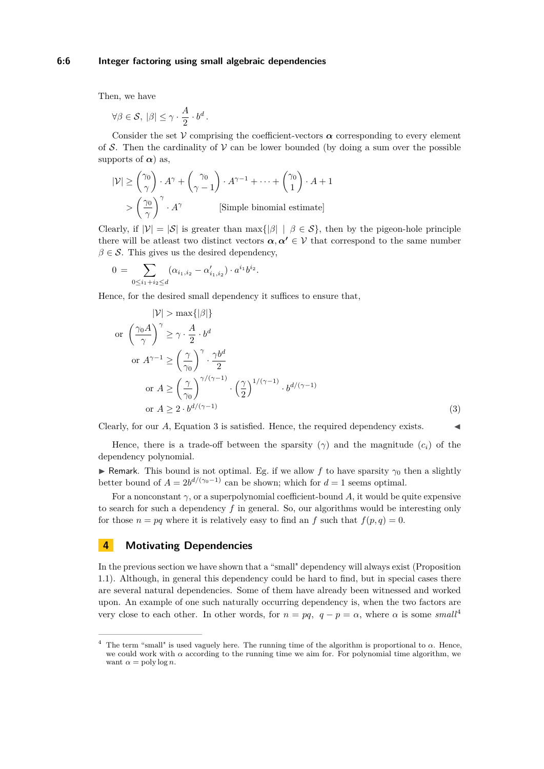Then, we have

∀*β* ∈ S*,* |*β*| ≤ *γ* · *A*  $\frac{A}{2} \cdot b^d$ .

Consider the set  $V$  comprising the coefficient-vectors  $\alpha$  corresponding to every element of S. Then the cardinality of  $\mathcal V$  can be lower bounded (by doing a sum over the possible supports of  $\alpha$ ) as,

$$
|\mathcal{V}| \geq {\gamma_0 \choose \gamma} \cdot A^{\gamma} + {\gamma_0 \choose \gamma - 1} \cdot A^{\gamma - 1} + \dots + {\gamma_0 \choose 1} \cdot A + 1
$$
  
> 
$$
{\gamma_0 \choose \gamma}^{\gamma} \cdot A^{\gamma}
$$
 [Simple binomial estimate]

Clearly, if  $|\mathcal{V}| = |\mathcal{S}|$  is greater than  $\max\{|\beta| \mid \beta \in \mathcal{S}\}\$ , then by the pigeon-hole principle there will be at least two distinct vectors  $\alpha, \alpha' \in \mathcal{V}$  that correspond to the same number  $\beta \in \mathcal{S}$ . This gives us the desired dependency,

$$
0 = \sum_{0 \le i_1 + i_2 \le d} (\alpha_{i_1, i_2} - \alpha'_{i_1, i_2}) \cdot a^{i_1} b^{i_2}.
$$

Hence, for the desired small dependency it suffices to ensure that,

<span id="page-5-1"></span>
$$
|\mathcal{V}| > \max\{|\beta|\}
$$
  
or 
$$
\left(\frac{\gamma_0 A}{\gamma}\right)^{\gamma} \ge \gamma \cdot \frac{A}{2} \cdot b^d
$$
  
or 
$$
A^{\gamma - 1} \ge \left(\frac{\gamma}{\gamma_0}\right)^{\gamma} \cdot \frac{\gamma b^d}{2}
$$
  
or 
$$
A \ge \left(\frac{\gamma}{\gamma_0}\right)^{\gamma/(\gamma - 1)} \cdot \left(\frac{\gamma}{2}\right)^{1/(\gamma - 1)} \cdot b^{d/(\gamma - 1)}
$$
  
or 
$$
A \ge 2 \cdot b^{d/(\gamma - 1)}
$$
 (3)

Clearly, for our A, Equation [3](#page-5-1) is satisfied. Hence, the required dependency exists.

Hence, there is a trade-off between the sparsity  $(\gamma)$  and the magnitude  $(c_i)$  of the dependency polynomial.

**I** Remark. This bound is not optimal. Eg. if we allow *f* to have sparsity  $\gamma_0$  then a slightly better bound of  $A = 2b^{d/(\gamma_0 - 1)}$  can be shown; which for  $d = 1$  seems optimal.

For a nonconstant  $\gamma$ , or a superpolynomial coefficient-bound A, it would be quite expensive to search for such a dependency *f* in general. So, our algorithms would be interesting only for those  $n = pq$  where it is relatively easy to find an  $f$  such that  $f(p, q) = 0$ .

# <span id="page-5-0"></span>**4 Motivating Dependencies**

In the previous section we have shown that a "small" dependency will always exist (Proposition [1.1\)](#page-2-1). Although, in general this dependency could be hard to find, but in special cases there are several natural dependencies. Some of them have already been witnessed and worked upon. An example of one such naturally occurring dependency is, when the two factors are very close to each other. In other words, for  $n = pq$ ,  $q - p = \alpha$ , where  $\alpha$  is some *small*<sup>[4](#page-5-2)</sup>

<span id="page-5-2"></span><sup>&</sup>lt;sup>4</sup> The term "small" is used vaguely here. The running time of the algorithm is proportional to  $\alpha$ . Hence, we could work with  $\alpha$  according to the running time we aim for. For polynomial time algorithm, we want  $\alpha = \text{poly}\log n$ .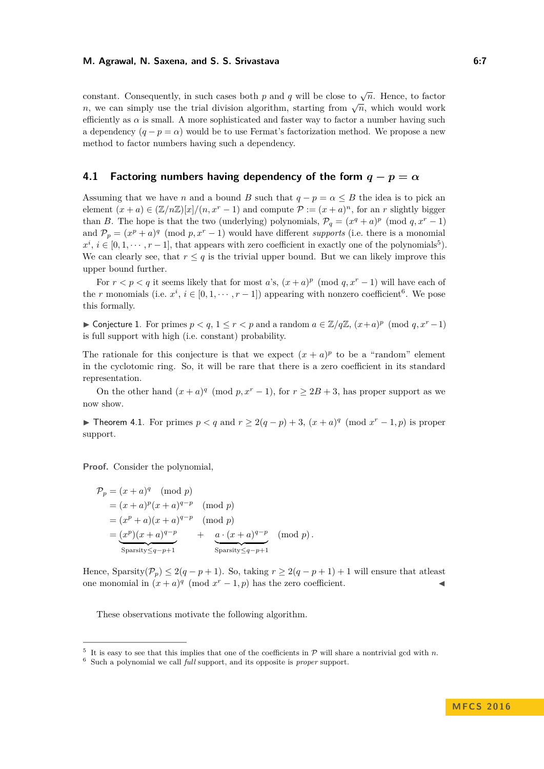constant. Consequently, in such cases both *p* and *q* will be close to  $\sqrt{n}$ . Hence, to factor  $n$ , we can simply use the trial division algorithm, starting from  $\sqrt{n}$ , which would work efficiently as  $\alpha$  is small. A more sophisticated and faster way to factor a number having such a dependency  $(q - p = \alpha)$  would be to use Fermat's factorization method. We propose a new method to factor numbers having such a dependency.

## **4.1 Factoring numbers having dependency of the form**  $q - p = \alpha$

Assuming that we have *n* and a bound *B* such that  $q - p = \alpha \leq B$  the idea is to pick an element  $(x + a) \in (\mathbb{Z}/n\mathbb{Z})[x]/(n, x^r - 1)$  and compute  $\mathcal{P} := (x + a)^n$ , for an *r* slightly bigger than *B*. The hope is that the two (underlying) polynomials,  $\mathcal{P}_q = (x^q + a)^p \pmod{q, x^r - 1}$ and  $P_p = (x^p + a)^q \pmod{p, x^r - 1}$  would have different *supports* (i.e. there is a monomial  $x^i, i \in [0, 1, \dots, r-1]$ , that appears with zero coefficient in exactly one of the polynomials<sup>[5](#page-6-0)</sup>). We can clearly see, that  $r \leq q$  is the trivial upper bound. But we can likely improve this upper bound further.

For  $r < p < q$  it seems likely that for most *a*'s,  $(x + a)^p \pmod{q, x^r - 1}$  will have each of the *r* monomials (i.e.  $x^i$ ,  $i \in [0, 1, \dots, r-1]$ ) appearing with nonzero coefficient<sup>[6](#page-6-1)</sup>. We pose this formally.

<span id="page-6-2"></span>► Conjecture 1. For primes  $p < q$ ,  $1 \le r < p$  and a random  $a \in \mathbb{Z}/q\mathbb{Z}$ ,  $(x+a)^p \pmod{q, x^r-1}$ is full support with high (i.e. constant) probability.

The rationale for this conjecture is that we expect  $(x + a)^p$  to be a "random" element in the cyclotomic ring. So, it will be rare that there is a zero coefficient in its standard representation.

On the other hand  $(x + a)^q \pmod{p, x^r - 1}$ , for  $r \ge 2B + 3$ , has proper support as we now show.

**► Theorem 4.1.** For primes  $p < q$  and  $r \ge 2(q - p) + 3$ ,  $(x + a)^q \pmod{x^r - 1, p}$  is proper support.

**Proof.** Consider the polynomial,

$$
\mathcal{P}_p = (x+a)^q \pmod{p}
$$
  
=  $(x+a)^p (x+a)^{q-p} \pmod{p}$   
=  $(x^p + a)(x+a)^{q-p} \pmod{p}$   
=  $\frac{(x^p)(x+a)^{q-p}}{\text{Sparsity} \leq_{q-p+1}} + \frac{a \cdot (x+a)^{q-p}}{\text{Sparsity} \leq_{q-p+1}}$  (mod  $p$ ).

Hence, Sparsity( $\mathcal{P}_p$ )  $\leq 2(q - p + 1)$ . So, taking  $r \geq 2(q - p + 1) + 1$  will ensure that at least one monomial in  $(x + a)^q$  (mod  $x^r - 1$ , p) has the zero coefficient.

These observations motivate the following algorithm.

<span id="page-6-0"></span><sup>&</sup>lt;sup>5</sup> It is easy to see that this implies that one of the coefficients in  $\mathcal{P}$  will share a nontrivial gcd with *n*.

<span id="page-6-1"></span><sup>6</sup> Such a polynomial we call *full* support, and its opposite is *proper* support.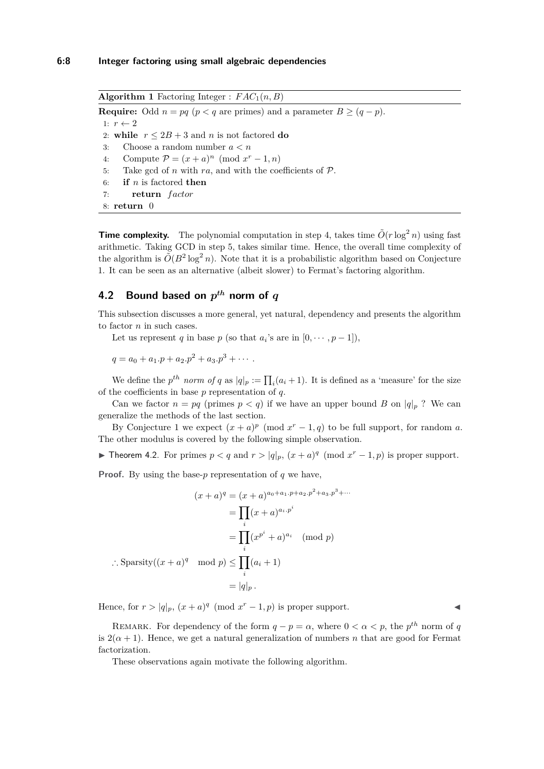**Algorithm 1** Factoring Integer :  $FAC_1(n, B)$ **Require:** Odd  $n = pq$  ( $p < q$  are primes) and a parameter  $B \geq (q - p)$ . 1:  $r \leftarrow 2$ 2: **while**  $r \leq 2B + 3$  and *n* is not factored **do** 3: Choose a random number *a < n* 4: Compute  $\mathcal{P} = (x+a)^n \pmod{x^r-1,n}$ 5: Take gcd of *n* with  $ra$ , and with the coefficients of  $P$ . 6: **if** *n* is factored **then** 7: **return** *f actor* 8: **return** 0

**Time complexity.** The polynomial computation in step 4, takes time  $\tilde{O}(r \log^2 n)$  using fast arithmetic. Taking GCD in step 5, takes similar time. Hence, the overall time complexity of the algorithm is  $O(B^2 \log^2 n)$ . Note that it is a probabilistic algorithm based on Conjecture [1.](#page-6-2) It can be seen as an alternative (albeit slower) to Fermat's factoring algorithm.

# <span id="page-7-0"></span>**4.2 Bound based on** *p th* **norm of** *q*

This subsection discusses a more general, yet natural, dependency and presents the algorithm to factor *n* in such cases.

Let us represent *q* in base *p* (so that  $a_i$ 's are in  $[0, \dots, p-1]$ ),

$$
q = a_0 + a_1.p + a_2.p^2 + a_3.p^3 + \cdots
$$

We define the  $p^{th}$  *norm of*  $q$  as  $|q|_p := \prod_i (a_i + 1)$ . It is defined as a 'measure' for the size of the coefficients in base *p* representation of *q*.

Can we factor  $n = pq$  (primes  $p < q$ ) if we have an upper bound *B* on  $|q|_p$ ? We can generalize the methods of the last section.

By Conjecture [1](#page-6-2) we expect  $(x + a)^p \pmod{x^r - 1, q}$  to be full support, for random *a*. The other modulus is covered by the following simple observation.

▶ Theorem 4.2. For primes  $p < q$  and  $r > |q|_p$ ,  $(x + a)^q \pmod{x^r - 1, p}$  is proper support.

**Proof.** By using the base-*p* representation of *q* we have,

$$
(x+a)^q = (x+a)^{a_0+a_1 p+a_2 p^2 + a_3 p^3 + \cdots}
$$

$$
= \prod_i (x+a)^{a_i p^i}
$$

$$
= \prod_i (x^{p^i} + a)^{a_i} \pmod{p}
$$

$$
\therefore \text{Sparsity}((x+a)^q \mod p) \le \prod_i (a_i+1)
$$

$$
= |q|_p.
$$

Hence, for  $r > |q|_p$ ,  $(x + a)^q \pmod{x^r - 1, p}$  is proper support.

REMARK. For dependency of the form  $q - p = \alpha$ , where  $0 < \alpha < p$ , the  $p^{th}$  norm of q is  $2(\alpha + 1)$ . Hence, we get a natural generalization of numbers *n* that are good for Fermat factorization.

These observations again motivate the following algorithm.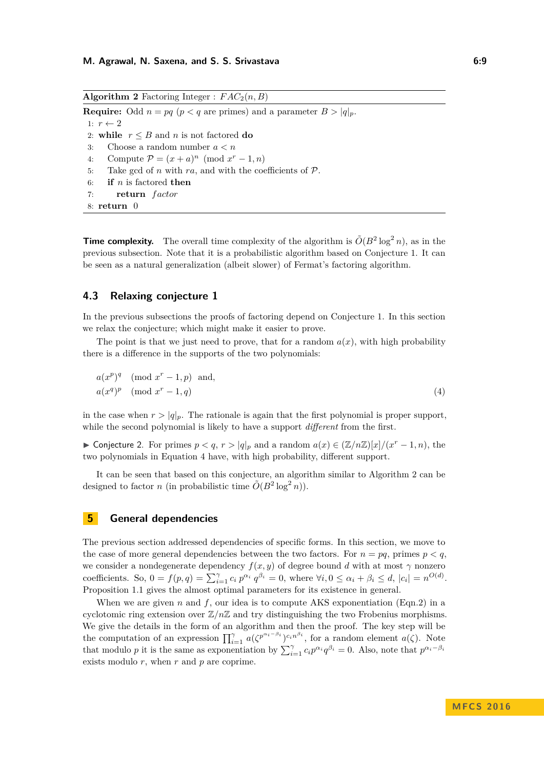<span id="page-8-2"></span>**Algorithm 2** Factoring Integer :  $FAC_2(n, B)$ **Require:** Odd  $n = pq$  ( $p < q$  are primes) and a parameter  $B > |q|_p$ . 1:  $r \leftarrow 2$ 2: **while**  $r \leq B$  and *n* is not factored **do** 3: Choose a random number *a < n* 4: Compute  $\mathcal{P} = (x+a)^n \pmod{x^r-1,n}$ 5: Take gcd of *n* with  $ra$ , and with the coefficients of  $P$ . 6: **if** *n* is factored **then** 7: **return** *f actor* 8: **return** 0

**Time complexity.** The overall time complexity of the algorithm is  $\tilde{O}(B^2 \log^2 n)$ , as in the previous subsection. Note that it is a probabilistic algorithm based on Conjecture [1.](#page-6-2) It can be seen as a natural generalization (albeit slower) of Fermat's factoring algorithm.

# **4.3 Relaxing conjecture [1](#page-6-2)**

In the previous subsections the proofs of factoring depend on Conjecture [1.](#page-6-2) In this section we relax the conjecture; which might make it easier to prove.

The point is that we just need to prove, that for a random  $a(x)$ , with high probability there is a difference in the supports of the two polynomials:

<span id="page-8-1"></span>
$$
a(xp)q \pmod{xr - 1, p} \text{ and,}
$$
  
 
$$
a(xq)p \pmod{xr - 1, q}
$$
 (4)

in the case when  $r > |q|_p$ . The rationale is again that the first polynomial is proper support, while the second polynomial is likely to have a support *different* from the first.

► Conjecture 2. For primes  $p < q$ ,  $r > |q|_p$  and a random  $a(x) \in (\mathbb{Z}/n\mathbb{Z})[x]/(x^r-1, n)$ , the two polynomials in Equation [4](#page-8-1) have, with high probability, different support.

It can be seen that based on this conjecture, an algorithm similar to Algorithm [2](#page-8-2) can be designed to factor *n* (in probabilistic time  $\tilde{O}(B^2 \log^2 n)$ ).

# <span id="page-8-0"></span>**5 General dependencies**

The previous section addressed dependencies of specific forms. In this section, we move to the case of more general dependencies between the two factors. For  $n = pq$ , primes  $p < q$ , we consider a nondegenerate dependency  $f(x, y)$  of degree bound *d* with at most  $\gamma$  nonzero coefficients. So,  $0 = f(p,q) = \sum_{i=1}^{\gamma} c_i p^{\alpha_i} q^{\beta_i} = 0$ , where  $\forall i, 0 \leq \alpha_i + \beta_i \leq d$ ,  $|c_i| = n^{O(d)}$ . Proposition [1.1](#page-2-1) gives the almost optimal parameters for its existence in general.

When we are given  $n$  and  $f$ , our idea is to compute AKS exponentiation (Eqn[.2\)](#page-3-1) in a cyclotomic ring extension over Z*/n*Z and try distinguishing the two Frobenius morphisms. We give the details in the form of an algorithm and then the proof. The key step will be the computation of an expression  $\prod_{i=1}^{\gamma} a(\zeta^{p^{\alpha_i-\beta_i}})^{c_i n^{\beta_i}}$ , for a random element  $a(\zeta)$ . Note that modulo *p* it is the same as exponentiation by  $\sum_{i=1}^{\gamma} c_i p^{\alpha_i} q^{\beta_i} = 0$ . Also, note that  $p^{\alpha_i - \beta_i}$ exists modulo *r*, when *r* and *p* are coprime.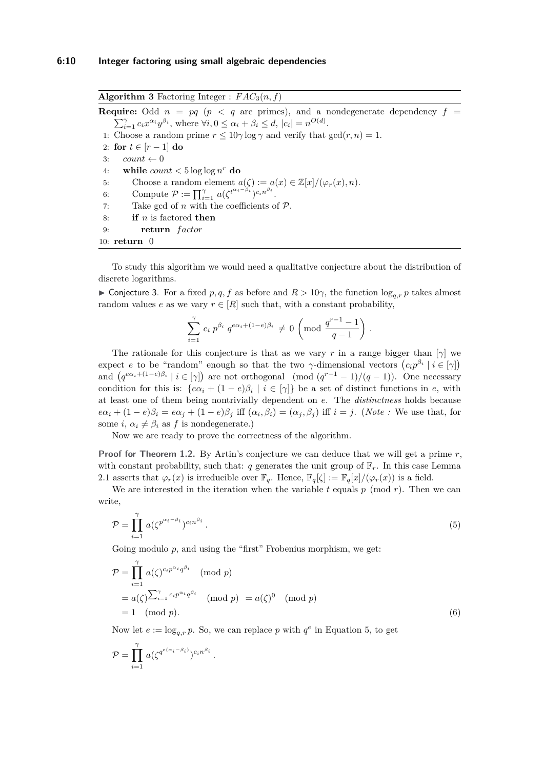<span id="page-9-3"></span>**Algorithm 3** Factoring Integer :  $FAC_3(n, f)$ **Require:** Odd  $n = pq$  ( $p < q$  are primes), and a nondegenerate dependency  $f =$  $\sum_{i=1}^{\gamma} c_i x^{\alpha_i} y^{\beta_i}$ , where  $\forall i, 0 \leq \alpha_i + \beta_i \leq d$ ,  $|c_i| = n^{O(d)}$ . 1: Choose a random prime  $r \leq 10\gamma \log \gamma$  and verify that  $gcd(r, n) = 1$ . 2: **for**  $t \in [r-1]$  **do** 3:  $count \leftarrow 0$ 4: while  $count < 5 \log \log n^r$  do 5: Choose a random element  $a(\zeta) := a(x) \in \mathbb{Z}[x]/(\varphi_r(x), n)$ . 6: Compute  $\mathcal{P} := \prod_{i=1}^{\gamma} a(\zeta^{t^{\alpha_i - \beta_i}})^{c_i n^{\beta_i}}$ . 7: Take gcd of *n* with the coefficients of P. 8: **if** *n* is factored **then** 9: **return** *f actor* 10: **return** 0

To study this algorithm we would need a qualitative conjecture about the distribution of discrete logarithms.

<span id="page-9-0"></span> $\triangleright$  Conjecture 3. For a fixed *p, q, f* as before and *R* > 10γ, the function  $\log_{a,r} p$  takes almost random values *e* as we vary  $r \in [R]$  such that, with a constant probability,

$$
\sum_{i=1}^{\gamma} c_i p^{\beta_i} q^{e\alpha_i + (1-e)\beta_i} \neq 0 \left( \text{mod } \frac{q^{r-1}-1}{q-1} \right).
$$

The rationale for this conjecture is that as we vary *r* in a range bigger than  $[\gamma]$  we expect *e* to be "random" enough so that the two *γ*-dimensional vectors  $(c_i p^{\beta_i} \mid i \in [\gamma])$ and  $(q^{e\alpha_i+(1-e)\beta_i} \mid i \in [\gamma])$  are not orthogonal  $(\text{mod } (q^{r-1}-1)/(q-1))$ . One necessary condition for this is:  $\{e\alpha_i + (1-e)\beta_i \mid i \in [\gamma]\}$  be a set of distinct functions in *e*, with at least one of them being nontrivially dependent on *e*. The *distinctness* holds because  $e\alpha_i + (1-e)\beta_i = e\alpha_j + (1-e)\beta_j$  iff  $(\alpha_i, \beta_i) = (\alpha_j, \beta_j)$  iff  $i = j$ . (Note : We use that, for some  $i, \alpha_i \neq \beta_i$  as  $f$  is nondegenerate.)

Now we are ready to prove the correctness of the algorithm.

**Proof for Theorem [1.2.](#page-2-2)** By Artin's conjecture we can deduce that we will get a prime *r*, with constant probability, such that: *q* generates the unit group of  $\mathbb{F}_r$ . In this case Lemma [2.1](#page-4-2) asserts that  $\varphi_r(x)$  is irreducible over  $\mathbb{F}_q$ . Hence,  $\mathbb{F}_q[\zeta] := \mathbb{F}_q[x]/(\varphi_r(x))$  is a field.

We are interested in the iteration when the variable  $t$  equals  $p \pmod{r}$ . Then we can write,

<span id="page-9-1"></span>
$$
\mathcal{P} = \prod_{i=1}^{\gamma} a(\zeta^{p^{\alpha_i - \beta_i}})^{c_i n^{\beta_i}}.
$$
\n
$$
(5)
$$

Going modulo *p*, and using the "first" Frobenius morphism, we get:

$$
\mathcal{P} = \prod_{i=1}^{\gamma} a(\zeta)^{c_i p^{\alpha_i} q^{\beta_i}} \pmod{p}
$$
  
=  $a(\zeta) \sum_{i=1}^{\gamma} c_i p^{\alpha_i} q^{\beta_i} \pmod{p} = a(\zeta)^0 \pmod{p}$   
= 1 \pmod{p}. (6)

Now let  $e := \log_{q,r} p$ . So, we can replace p with  $q^e$  in Equation [5,](#page-9-1) to get

<span id="page-9-2"></span>*.*

$$
\mathcal{P} = \prod_{i=1}^{\gamma} a(\zeta^{q^{e(\alpha_i - \beta_i)}})^{c_i n^{\beta_i}}
$$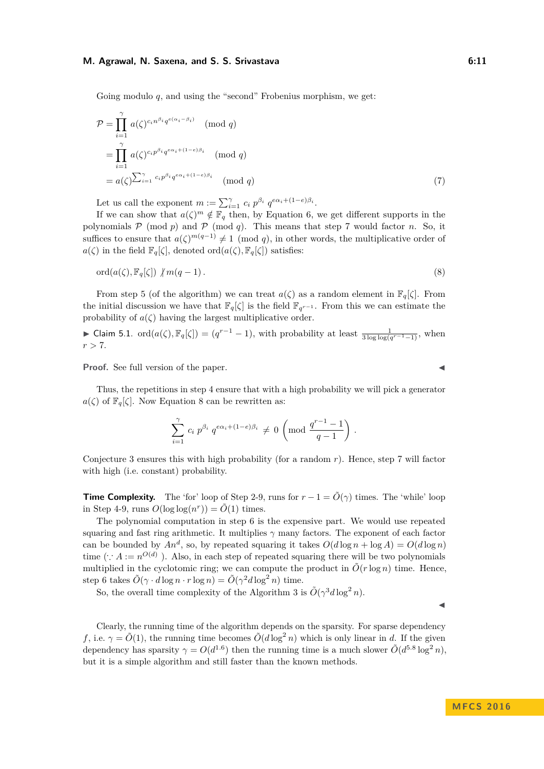Going modulo *q*, and using the "second" Frobenius morphism, we get:

$$
\mathcal{P} = \prod_{i=1}^{\gamma} a(\zeta)^{c_i n^{\beta_i} q^{e(\alpha_i - \beta_i)}} \pmod{q}
$$
  
= 
$$
\prod_{i=1}^{\gamma} a(\zeta)^{c_i p^{\beta_i} q^{e\alpha_i + (1-e)\beta_i}} \pmod{q}
$$
  
= 
$$
a(\zeta)^{\sum_{i=1}^{\gamma} c_i p^{\beta_i} q^{e\alpha_i + (1-e)\beta_i}} \pmod{q}
$$
 (7)

Let us call the exponent  $m := \sum_{i=1}^{\gamma} c_i p^{\beta_i} q^{e\alpha_i + (1-e)\beta_i}$ .

If we can show that  $a(\zeta)^m \notin \mathbb{F}_q$  then, by Equation [6,](#page-9-2) we get different supports in the polynomials  $P \pmod{p}$  and  $P \pmod{q}$ . This means that step 7 would factor *n*. So, it suffices to ensure that  $a(\zeta)^{m(q-1)} \neq 1 \pmod{q}$ , in other words, the multiplicative order of *a*( $\zeta$ ) in the field  $\mathbb{F}_q[\zeta]$ , denoted ord $(a(\zeta), \mathbb{F}_q[\zeta])$  satisfies:

$$
\mathrm{ord}(a(\zeta), \mathbb{F}_q[\zeta]) \not| m(q-1). \tag{8}
$$

From step 5 (of the algorithm) we can treat  $a(\zeta)$  as a random element in  $\mathbb{F}_q[\zeta]$ . From the initial discussion we have that  $\mathbb{F}_q[\zeta]$  is the field  $\mathbb{F}_{q^{r-1}}$ . From this we can estimate the probability of  $a(\zeta)$  having the largest multiplicative order.

▶ Claim 5.1. ord(
$$
a(\zeta)
$$
,  $\mathbb{F}_q[\zeta]$ ) = ( $q^{r-1} - 1$ ), with probability at least  $\frac{1}{3 \log \log(q^{r-1}-1)}$ , when  $r > 7$ .

**Proof.** See full version of the paper.

Thus, the repetitions in step 4 ensure that with a high probability we will pick a generator  $a(\zeta)$  of  $\mathbb{F}_q[\zeta]$ . Now Equation [8](#page-10-0) can be rewritten as:

$$
\sum_{i=1}^{\gamma} c_i p^{\beta_i} q^{e\alpha_i + (1-e)\beta_i} \neq 0 \left( \text{mod } \frac{q^{r-1} - 1}{q-1} \right).
$$

Conjecture [3](#page-9-0) ensures this with high probability (for a random *r*). Hence, step 7 will factor with high (i.e. constant) probability.

**Time Complexity.** The 'for' loop of Step 2-9, runs for  $r - 1 = \tilde{O}(\gamma)$  times. The 'while' loop in Step 4-9, runs  $O(\log \log(n^r)) = \tilde{O}(1)$  times.

The polynomial computation in step 6 is the expensive part. We would use repeated squaring and fast ring arithmetic. It multiplies *γ* many factors. The exponent of each factor can be bounded by  $An^d$ , so, by repeated squaring it takes  $O(d \log n + \log A) = O(d \log n)$ time (∴  $A := n^{O(d)}$ ). Also, in each step of repeated squaring there will be two polynomials multiplied in the cyclotomic ring; we can compute the product in  $\tilde{O}(r \log n)$  time. Hence, step 6 takes  $\tilde{O}(\gamma \cdot d \log n \cdot r \log n) = \tilde{O}(\gamma^2 d \log^2 n)$  time.

So, the overall time complexity of the Algorithm [3](#page-9-3) is  $O(\gamma^3 d \log^2 n)$ .

Clearly, the running time of the algorithm depends on the sparsity. For sparse dependency *f*, i.e.  $\gamma = \tilde{O}(1)$ , the running time becomes  $\tilde{O}(d \log^2 n)$  which is only linear in *d*. If the given dependency has sparsity  $\gamma = O(d^{1.6})$  then the running time is a much slower  $\tilde{O}(d^{5.8} \log^2 n)$ , but it is a simple algorithm and still faster than the known methods.

<span id="page-10-0"></span>
$$
\blacktriangleleft
$$

J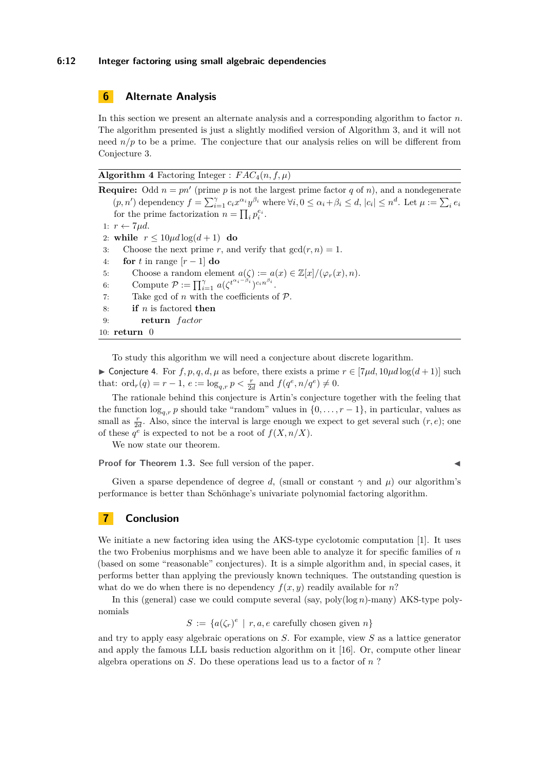#### **6:12 Integer factoring using small algebraic dependencies**

## <span id="page-11-0"></span>**6 Alternate Analysis**

In this section we present an alternate analysis and a corresponding algorithm to factor *n*. The algorithm presented is just a slightly modified version of Algorithm [3,](#page-9-3) and it will not need  $n/p$  to be a prime. The conjecture that our analysis relies on will be different from Conjecture [3.](#page-9-0)

**Algorithm 4** Factoring Integer :  $FAC_4(n, f, \mu)$ 

**Require:** Odd  $n = pn'$  (prime p is not the largest prime factor q of n), and a nondegenerate  $(p, n')$  dependency  $f = \sum_{i=1}^{\gamma} c_i x^{\alpha_i} y^{\beta_i}$  where  $\forall i, 0 \leq \alpha_i + \beta_i \leq d, |c_i| \leq n^d$ . Let  $\mu := \sum_i e_i$ for the prime factorization  $n = \prod_i p_i^{e_i}$ . 1:  $r \leftarrow 7 \mu d$ . 2: **while**  $r \leq 10 \mu d \log(d+1)$  **do** 3: Choose the next prime *r*, and verify that  $gcd(r, n) = 1$ . 4: **for** *t* in range  $[r-1]$  **do** 5: Choose a random element  $a(\zeta) := a(x) \in \mathbb{Z}[x]/(\varphi_r(x), n)$ . 6: Compute  $\mathcal{P} := \prod_{i=1}^{\gamma} a(\zeta^{t^{\alpha_i - \beta_i}})^{c_i n^{\beta_i}}$ . 7: Take gcd of  $n$  with the coefficients of  $P$ . 8: **if** *n* is factored **then** 9: **return** *f actor* 10: **return** 0

To study this algorithm we will need a conjecture about discrete logarithm.

<span id="page-11-1"></span>► Conjecture 4. For  $f, p, q, d, \mu$  as before, there exists a prime  $r \in [7\mu d, 10\mu d \log(d+1)]$  such that:  $\text{ord}_r(q) = r - 1, e := \log_{q,r} p < \frac{r}{2d} \text{ and } f(q^e, n/q^e) \neq 0.$ 

The rationale behind this conjecture is Artin's conjecture together with the feeling that the function  $\log_{a,r} p$  should take "random" values in  $\{0,\ldots,r-1\}$ , in particular, values as small as  $\frac{r}{2d}$ . Also, since the interval is large enough we expect to get several such  $(r, e)$ ; one of these  $q^e$  is expected to not be a root of  $f(X, n/X)$ .

We now state our theorem.

**Proof for Theorem [1.3.](#page-3-2)** See full version of the paper.

Given a sparse dependence of degree *d*, (small or constant  $\gamma$  and  $\mu$ ) our algorithm's performance is better than Schönhage's univariate polynomial factoring algorithm.

# **7 Conclusion**

We initiate a new factoring idea using the AKS-type cyclotomic computation [\[1\]](#page-12-18). It uses the two Frobenius morphisms and we have been able to analyze it for specific families of *n* (based on some "reasonable" conjectures). It is a simple algorithm and, in special cases, it performs better than applying the previously known techniques. The outstanding question is what do we do when there is no dependency  $f(x, y)$  readily available for *n*?

In this (general) case we could compute several (say, poly(log *n*)-many) AKS-type polynomials

 $S := \{a(\zeta_r)^e \mid r, a, e \text{ carefully chosen given } n\}$ 

and try to apply easy algebraic operations on *S*. For example, view *S* as a lattice generator and apply the famous LLL basis reduction algorithm on it [\[16\]](#page-12-22). Or, compute other linear algebra operations on *S*. Do these operations lead us to a factor of *n* ?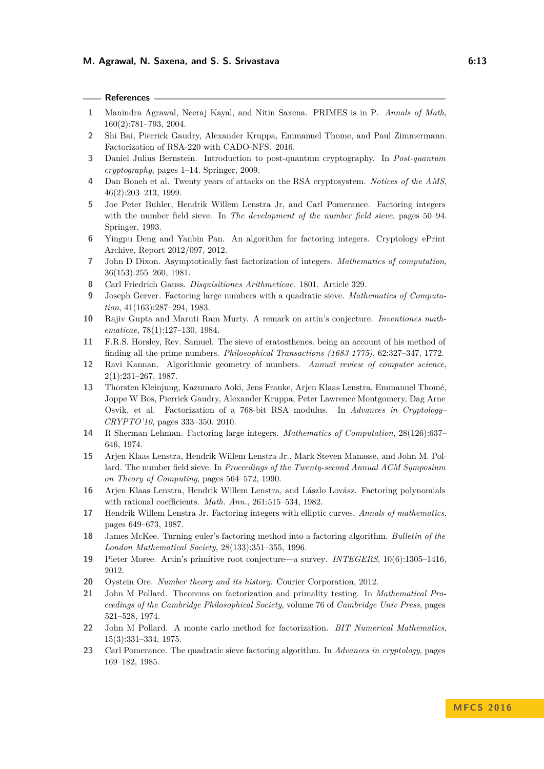| ×<br>٧ |  | ۰, |
|--------|--|----|

## **References**

- <span id="page-12-18"></span>**1** Manindra Agrawal, Neeraj Kayal, and Nitin Saxena. PRIMES is in P. *Annals of Math*, 160(2):781–793, 2004.
- <span id="page-12-2"></span>**2** Shi Bai, Pierrick Gaudry, Alexander Kruppa, Emmanuel Thome, and Paul Zimmermann. Factorization of RSA-220 with CADO-NFS. 2016.
- <span id="page-12-16"></span>**3** Daniel Julius Bernstein. Introduction to post-quantum cryptography. In *Post-quantum cryptography*, pages 1–14. Springer, 2009.
- <span id="page-12-12"></span>**4** Dan Boneh et al. Twenty years of attacks on the RSA cryptosystem. *Notices of the AMS*, 46(2):203–213, 1999.
- <span id="page-12-11"></span>**5** Joe Peter Buhler, Hendrik Willem Lenstra Jr, and Carl Pomerance. Factoring integers with the number field sieve. In *The development of the number field sieve*, pages 50–94. Springer, 1993.
- <span id="page-12-17"></span>**6** Yingpu Deng and Yanbin Pan. An algorithm for factoring integers. Cryptology ePrint Archive, Report 2012/097, 2012.
- <span id="page-12-15"></span>**7** John D Dixon. Asymptotically fast factorization of integers. *Mathematics of computation*, 36(153):255–260, 1981.
- <span id="page-12-0"></span>**8** Carl Friedrich Gauss. *Disquisitiones Arithmeticae*. 1801. Article 329.
- <span id="page-12-10"></span>**9** Joseph Gerver. Factoring large numbers with a quadratic sieve. *Mathematics of Computation*, 41(163):287–294, 1983.
- <span id="page-12-21"></span>**10** Rajiv Gupta and Maruti Ram Murty. A remark on artin's conjecture. *Inventiones mathematicae*, 78(1):127–130, 1984.
- <span id="page-12-3"></span>**11** F.R.S. Horsley, Rev. Samuel. The sieve of eratosthenes. being an account of his method of finding all the prime numbers. *Philosophical Transactions (1683-1775)*, 62:327–347, 1772.
- <span id="page-12-19"></span>**12** Ravi Kannan. Algorithmic geometry of numbers. *Annual review of computer science*, 2(1):231–267, 1987.
- <span id="page-12-1"></span>**13** Thorsten Kleinjung, Kazumaro Aoki, Jens Franke, Arjen Klaas Lenstra, Emmanuel Thomé, Joppe W Bos, Pierrick Gaudry, Alexander Kruppa, Peter Lawrence Montgomery, Dag Arne Osvik, et al. Factorization of a 768-bit RSA modulus. In *Advances in Cryptology– CRYPTO'10*, pages 333–350. 2010.
- <span id="page-12-4"></span>**14** R Sherman Lehman. Factoring large integers. *Mathematics of Computation*, 28(126):637– 646, 1974.
- <span id="page-12-13"></span>**15** Arjen Klaas Lenstra, Hendrik Willem Lenstra Jr., Mark Steven Manasse, and John M. Pollard. The number field sieve. In *Proceedings of the Twenty-second Annual ACM Symposium on Theory of Computing*, pages 564–572, 1990.
- <span id="page-12-22"></span>**16** Arjen Klaas Lenstra, Hendrik Willem Lenstra, and Lászlo Lovász. Factoring polynomials with rational coefficients. *Math. Ann.*, 261:515–534, 1982.
- <span id="page-12-9"></span>**17** Hendrik Willem Lenstra Jr. Factoring integers with elliptic curves. *Annals of mathematics*, pages 649–673, 1987.
- <span id="page-12-5"></span>**18** James McKee. Turning euler's factoring method into a factoring algorithm. *Bulletin of the London Mathematical Society*, 28(133):351–355, 1996.
- <span id="page-12-20"></span>**19** Pieter Moree. Artin's primitive root conjecture—a survey. *INTEGERS*, 10(6):1305–1416, 2012.
- <span id="page-12-6"></span>**20** Oystein Ore. *Number theory and its history*. Courier Corporation, 2012.
- <span id="page-12-8"></span>**21** John M Pollard. Theorems on factorization and primality testing. In *Mathematical Proceedings of the Cambridge Philosophical Society*, volume 76 of *Cambridge Univ Press*, pages 521–528, 1974.
- <span id="page-12-7"></span>**22** John M Pollard. A monte carlo method for factorization. *BIT Numerical Mathematics*, 15(3):331–334, 1975.
- <span id="page-12-14"></span>**23** Carl Pomerance. The quadratic sieve factoring algorithm. In *Advances in cryptology*, pages 169–182, 1985.